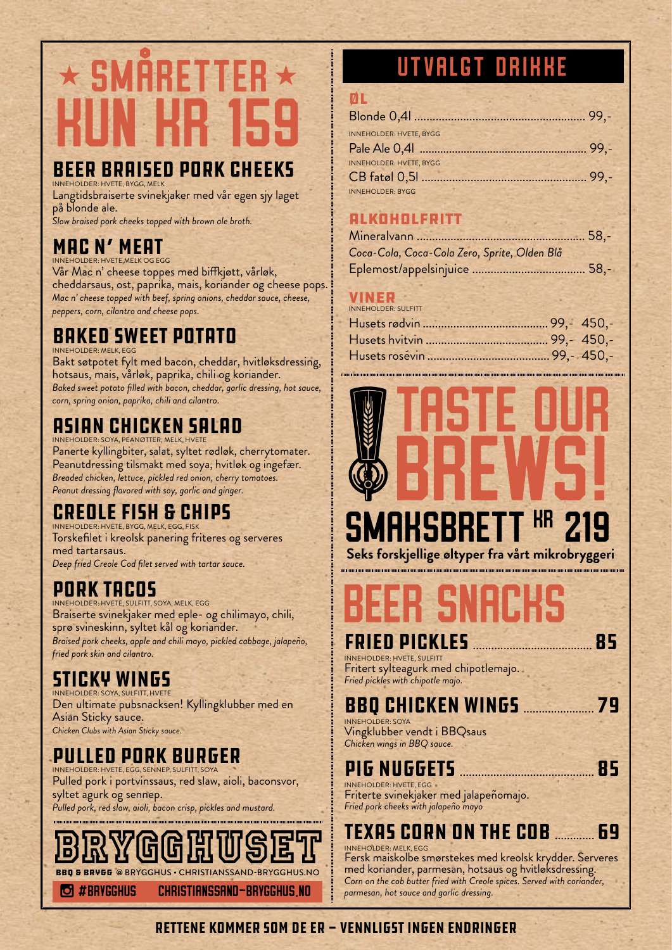# $\star$  SMARETTER  $\star$ kun kr 159

#### Beer braised pork cheeks INNEHOLDER: HVETE, BYGG, MELK

Langtidsbraiserte svinekjaker med vår egen sjy laget på blonde ale. *Slow braised pork cheeks topped with brown ale broth.*

MAC N' MEAT

INNEHOLDER: HVETE,MELK OG EGG

Vår Mac n' cheese toppes med biffkjøtt, vårløk, cheddarsaus, ost, paprika, mais, koriander og cheese pops. *Mac n' cheese topped with beef, spring onions, cheddar sauce, cheese, peppers, corn, cilantro and cheese pops.*

#### Baked sweet potato INNEHOLDER: MELK, EGG

Bakt søtpotet fylt med bacon, cheddar, hvitløksdressing, hotsaus, mais, vårløk, paprika, chili og koriander. *Baked sweet potato filled with bacon, cheddar, garlic dressing, hot sauce, corn, spring onion, paprika, chili and cilantro.*

# Asian Chicken salad

INNEHOLDER: SOYA, PEANØTTER, MELK, HVETE Panerte kyllingbiter, salat, syltet rødløk, cherrytomater. Peanutdressing tilsmakt med soya, hvitløk og ingefær. *Breaded chicken, lettuce, pickled red onion, cherry tomatoes. Peanut dressing flavored with soy, garlic and ginger.*

# Creole Fish & Chips

INNEHOLDER: HVETE, BYGG, MELK, EGG, FISK Torskefilet i kreolsk panering friteres og serveres med tartarsaus. *Deep fried Creole Cod filet served with tartar sauce.*

# Pork Tacos

INNEHOLDER: HVETE, SULFITT, SOYA, MELK, EGG Braiserte svinekjaker med eple- og chilimayo, chili, sprø svineskinn, syltet kål og koriander. *Braised pork cheeks, apple and chili mayo, pickled cabbage, jalapeño, fried pork skin and cilantro.*

#### Sticky Wings INNEHOLDER: SOYA, SULFITT, HVETE

Den ultimate pubsnacksen! Kyllingklubber med en Asian Sticky sauce. *Chicken Clubs with Asian Sticky sauce.*

#### Pulled Pork Burger INNEHOLDER: HVETE, EGG, SENNEP, SULFITT, SOYA

Pulled pork i portvinssaus, red slaw, aioli, baconsvor, syltet agurk og sennep. *Pulled pork, red slaw, aioli, bacon crisp, pickles and mustard.*

 #brygghus christianssand-brygghus.no BBQ & BRYGG @ BRYGGHUS • CHRISTIANSSAND-BRYGGHUS.NO

# utvalgt drikke

| ØL                             |  |
|--------------------------------|--|
|                                |  |
| <b>INNEHOLDER: HVETE, BYGG</b> |  |
|                                |  |
| <b>INNEHOLDER: HVETE, BYGG</b> |  |
|                                |  |
| <b>INNEHOLDER: BYGG</b>        |  |

## Alkoholfritt

| Coca-Cola, Coca-Cola Zero, Sprite, Olden Blå |  |
|----------------------------------------------|--|
|                                              |  |

#### viner

| <b>INNEHOLDER: SULFITT</b> |  |
|----------------------------|--|
|                            |  |
|                            |  |
|                            |  |
|                            |  |



# beer snacks

### Fried Pickles ....................................... 85

INNEHOLDER: HVETE, SULFITT Fritert sylteagurk med chipotlemajo. *Fried pickles with chipotle majo.*

# BBQ chicken wings ....................... 79

INNEHOLDER: SOYA Vingklubber vendt i BBQsaus *Chicken wings in BBQ sauce.*

# Pig Nuggets ............................................ 85

INNEHOLDER: HVETE, EGG Friterte svinekjaker med jalapeñomajo. *Fried pork cheeks with jalapeño mayo*

#### Texas Corn On The Cob ............. 69 INNEHOLDER: MELK, EGG

Fersk maiskolbe smørstekes med kreolsk krydder. Serveres med koriander, parmesan, hotsaus og hvitløksdressing. *Corn on the cob butter fried with Creole spices. Served with coriander, parmesan, hot sauce and garlic dressing.*

#### RETTENE KOMMER SOM DE ER - VENNLIGST INGEN ENDRINGER